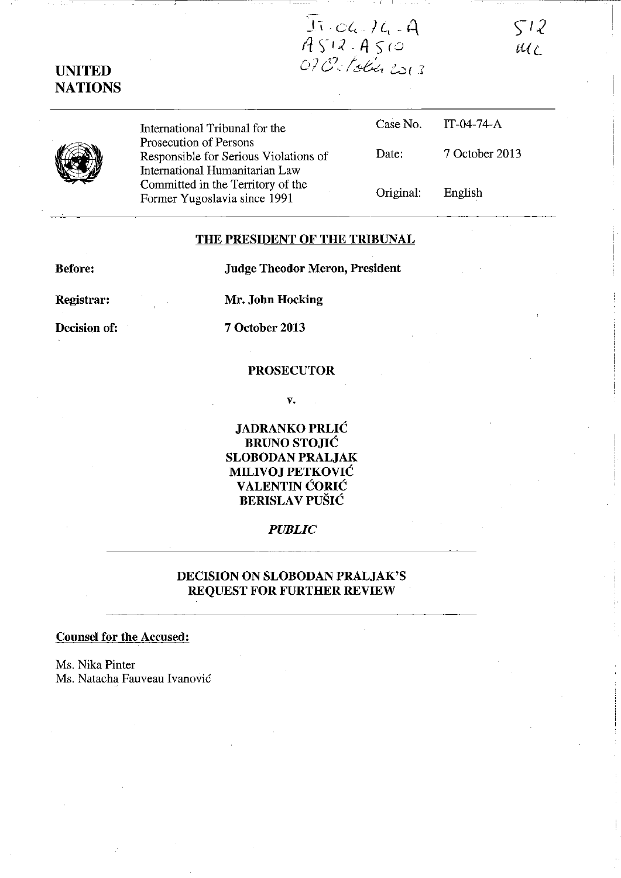$512$ MC

 $T: C6.76.4$ <br>ASIR ASIO<br>OPOSTobin 2013

# **UNITED NATIONS**



International Tribunal for the Prosecution of Persons Responsible for Serious Violations of International Humanitarian Law Committed in the Territory of the Former Yugoslavia since 1991

|           | Case No. IT-04-74- $A$ |
|-----------|------------------------|
| Date:     | 7 October 2013         |
| Original: | English                |

# **THE PRESIDENT OF THE TRIBUNAL**

**Before:** 

**Judge Theodor Meron, President** 

**Registrar:** 

**Mr. John Hocking** 

**Decision of:** 

**7 October 2013** 

#### **PROSECUTOR**

v.

**JADRANKO PRLIC BRUNO STOJIC SLOBODAN PRALJAK MILIVOJ PETKOVIC**  V **ALENTIN CORIC BERISLA V PUSIC** 

## *PUBLIC*

# **DECISION ON SLOBODAN PRALJAK'S REQUEST FOR FURTHER REVIEW**

### **Counsel for the Accused:**

Ms. Nika Pinter Ms. Natacha Fauveau Ivanović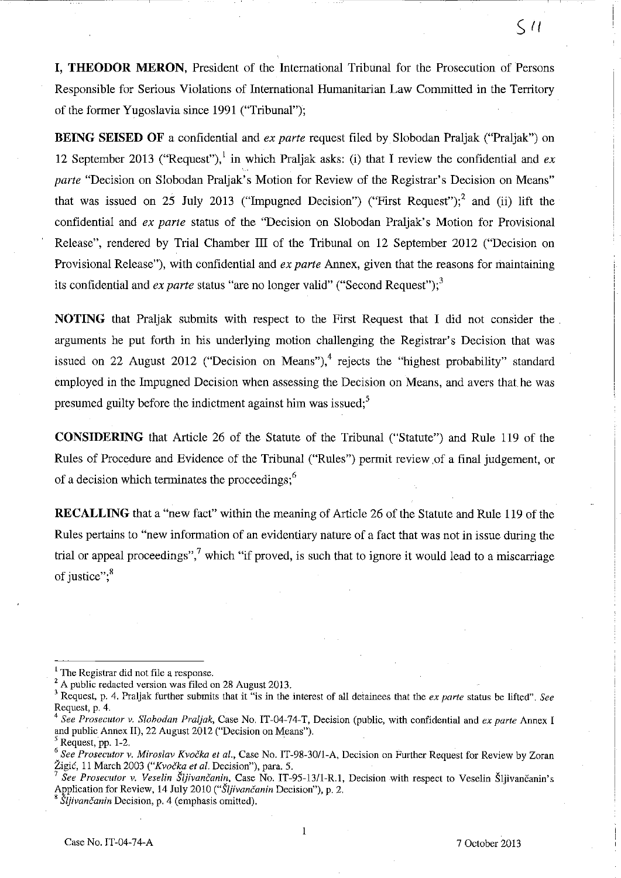**I, THEODOR MERON,** President of the International Tribunal for the Prosecution of Persons Responsible for Serious Violations of International Humanitarian Law Committed in the Territory of the former Yugoslavia since 1991 ("Tribunal");

**BEING SEISED OF** a confidential and *ex parte* request filed by Slobodan Praljak ("Praljak") on 12 September 2013 ("Request"),<sup>1</sup> in which Praljak asks: (i) that I review the confidential and  $ex$ *parte* "Decision on Slobodan Praljak's Motion for Review of the Registrar's Decision on Means" that was issued on 25 July 2013 ("Impugned Decision") ("First Request");<sup>2</sup> and (ii) lift the confidential and *ex parte* status of the "Decision on Slobodan Praljak's Motion for Provisional Release", rendered by Trial Chamber III of the Tribunal on 12 September 2012 ("Decision on Provisional Release"), with confidential and *ex parte* Annex, given that the reasons for maintaining its confidential and *ex parte* status "are no longer valid" ("Second Request");<sup>3</sup>

**NOTING** that Praljak submits with respect to the First Request that I did not consider the arguments he put forth in his underlying motion challenging the Registrar's Decision that was issued on 22 August 2012 ("Decision on Means").<sup>4</sup> rejects the "highest probability" standard employed in the Impugned Decision when assessing the Decision on Means, and avers that he was presumed guilty before the indictment against him was issued;<sup>5</sup>

**CONSIDERING** that Article 26 of the Statute of the Tribunal ("Statute") and Rule 119 of the Rules of Procedure and Evidence of the Tribunal ("Rules") permit review .of a final judgement, or of a decision which terminates the proceedings;<sup>6</sup>

**RECALLING** that a "new fact" within the meaning of Article 26 of the Statute and Rule 119 of the Rules pertains to "new information of an evidentiary nature of a fact that was not in issue during the trial or appeal proceedings",<sup>7</sup> which "if proved, is such that to ignore it would lead to a miscarriage of justice"; $<sup>8</sup>$ </sup>

 $\zeta$  11

 $<sup>1</sup>$  The Registrar did not file a response.</sup>

 $2$  A public redacted version was filed on 28 August 2013.

<sup>3</sup> Request, p. 4. Praljak further submits that it "is in the interest of all detainees that the *ex parte* status be lifted". *See*  Request, p. 4.

<sup>4</sup>*See Prosecutor v. Slohodan Praljak,* Case No. IT-04-74-T, Decision (public, with confidential and *ex parte* Annex I and public Annex Il), 22 August 2012 ("Decision on Means").

<sup>5</sup> Request, pp. 1-2.

*<sup>6</sup> See Prosecutor* v. *Miroslav Kvocka et al.,* Case No. IT-98-30/I-A, Decision on Further Request for Review by Zoran Zigic, 11 March 2003 *("Kvocka et al.* Decision"), para. 5.

<sup>7</sup> *See Prosecutor* v. *Veselin Sljivancanin,* Case No. IT-95-13/l-RI, Decision with respect to Veselin Sljivancanin's Application for Review, 14 July 2010 *("SUivancanin* Decision"), p. 2.

*<sup>,</sup> Sljivancanin* Decision, p. 4 (emphasis omitted).